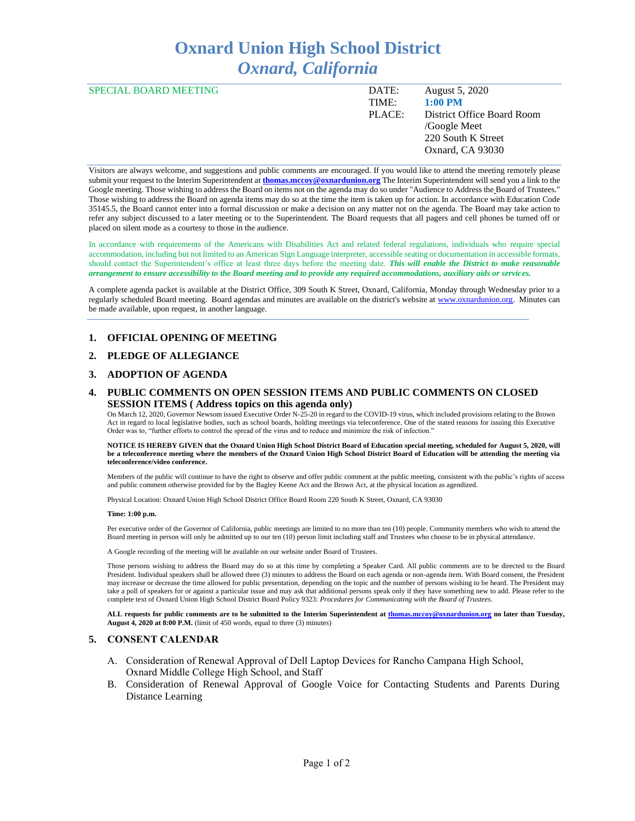# **Oxnard Union High School District** *Oxnard, California*

| <b>SPECIAL BOARD MEETING</b> | DATE:  | August 5, 2020             |
|------------------------------|--------|----------------------------|
|                              | TIME:  | $1:00$ PM                  |
|                              | PLACE: | District Office Board Room |
|                              |        | /Google Meet               |
|                              |        | 220 South K Street         |
|                              |        | Oxnard, CA 93030           |

Visitors are always welcome, and suggestions and public comments are encouraged. If you would like to attend the meeting remotely please submit your request to the Interim Superintendent at **thomas.mccoy@oxnardunion.org** The Interim Superintendent will send you a link to the Google meeting. Those wishing to address the Board on items not on the agenda may do so under "Audience to Address the Board of Trustees." Those wishing to address the Board on agenda items may do so at the time the item is taken up for action. In accordance with Education Code 35145.5, the Board cannot enter into a formal discussion or make a decision on any matter not on the agenda. The Board may take action to refer any subject discussed to a later meeting or to the Superintendent. The Board requests that all pagers and cell phones be turned off or placed on silent mode as a courtesy to those in the audience.

In accordance with requirements of the Americans with Disabilities Act and related federal regulations, individuals who require special accommodation, including but not limited to an American Sign Language interpreter, accessible seating or documentation in accessible formats, should contact the Superintendent's office at least three days before the meeting date. *This will enable the District to make reasonable arrangement to ensure accessibility to the Board meeting and to provide any required accommodations, auxiliary aids or services.*

A complete agenda packet is available at the District Office, 309 South K Street, Oxnard, California, Monday through Wednesday prior to a regularly scheduled Board meeting. Board agendas and minutes are available on the district's website at [www.ox](http://www.o/)nardunion.org. Minutes can be made available, upon request, in another language.

### **1. OFFICIAL OPENING OF MEETING**

#### **2. PLEDGE OF ALLEGIANCE**

#### **3. ADOPTION OF AGENDA**

### **4. PUBLIC COMMENTS ON OPEN SESSION ITEMS AND PUBLIC COMMENTS ON CLOSED SESSION ITEMS ( Address topics on this agenda only)**

On March 12, 2020, Governor Newsom issued Executive Order N-25-20 in regard to the COVID-19 virus, which included provisions relating to the Brown Act in regard to local legislative bodies, such as school boards, holding meetings via teleconference. One of the stated reasons for issuing this Executive Order was to, "further efforts to control the spread of the virus and to reduce and minimize the risk of infection."

**NOTICE IS HEREBY GIVEN that the Oxnard Union High School District Board of Education special meeting, scheduled for August 5, 2020, will be a teleconference meeting where the members of the Oxnard Union High School District Board of Education will be attending the meeting via teleconference/video conference.**

Members of the public will continue to have the right to observe and offer public comment at the public meeting, consistent with the public's rights of access and public comment otherwise provided for by the Bagley Keene Act and the Brown Act, at the physical location as agendized.

Physical Location: Oxnard Union High School District Office Board Room 220 South K Street, Oxnard, CA 93030

#### **Time: 1:00 p.m.**

Per executive order of the Governor of California, public meetings are limited to no more than ten (10) people. Community members who wish to attend the Board meeting in person will only be admitted up to our ten (10) person limit including staff and Trustees who choose to be in physical attendance.

A Google recording of the meeting will be available on our website under Board of Trustees.

Those persons wishing to address the Board may do so at this time by completing a Speaker Card. All public comments are to be directed to the Board President. Individual speakers shall be allowed three (3) minutes to address the Board on each agenda or non-agenda item. With Board consent, the President may increase or decrease the time allowed for public presentation, depending on the topic and the number of persons wishing to be heard. The President may take a poll of speakers for or against a particular issue and may ask that additional persons speak only if they have something new to add. Please refer to the complete text of Oxnard Union High School District Board Policy 9323: *Procedures for Communicating with the Board of Trustees*.

**ALL requests for public comments are to be submitted to the Interim Superintendent at [thomas.mccoy@oxnardunion.org](mailto:thomas.mccoy@oxnardunion.org) no later than Tuesday, August 4, 2020 at 8:00 P.M.** (limit of 450 words, equal to three (3) minutes)

#### **5. CONSENT CALENDAR**

- A. Consideration of Renewal Approval of Dell Laptop Devices for Rancho Campana High School, Oxnard Middle College High School, and Staff
- B. Consideration of Renewal Approval of Google Voice for Contacting Students and Parents During Distance Learning